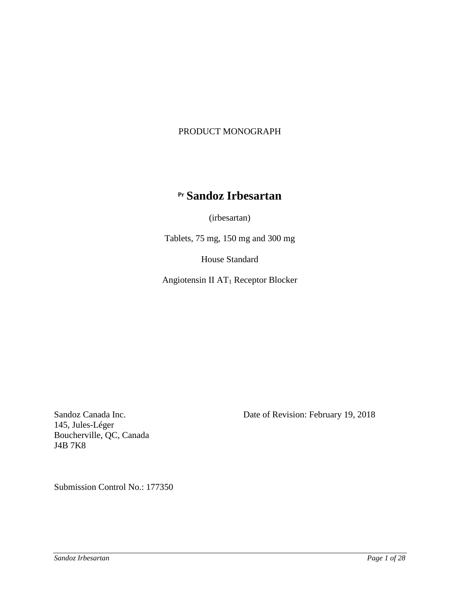# PRODUCT MONOGRAPH

# **Pr Sandoz Irbesartan**

(irbesartan)

Tablets, 75 mg, 150 mg and 300 mg

House Standard

Angiotensin II AT1 Receptor Blocker

145, Jules-Léger Boucherville, QC, Canada J4B 7K8

Sandoz Canada Inc. Date of Revision: February 19, 2018

Submission Control No.: 177350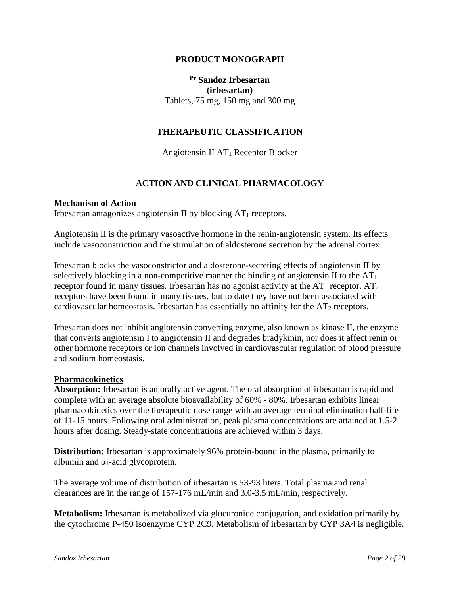## **PRODUCT MONOGRAPH**

# **Pr Sandoz Irbesartan (irbesartan)** Tablets, 75 mg, 150 mg and 300 mg

## **THERAPEUTIC CLASSIFICATION**

Angiotensin II  $AT_1$  Receptor Blocker

## **ACTION AND CLINICAL PHARMACOLOGY**

### **Mechanism of Action**

Irbesartan antagonizes angiotensin II by blocking  $AT_1$  receptors.

Angiotensin II is the primary vasoactive hormone in the renin-angiotensin system. Its effects include vasoconstriction and the stimulation of aldosterone secretion by the adrenal cortex.

Irbesartan blocks the vasoconstrictor and aldosterone-secreting effects of angiotensin II by selectively blocking in a non-competitive manner the binding of angiotensin II to the  $AT<sub>1</sub>$ receptor found in many tissues. Irbesartan has no agonist activity at the  $AT_1$  receptor.  $AT_2$ receptors have been found in many tissues, but to date they have not been associated with cardiovascular homeostasis. Irbesartan has essentially no affinity for the  $AT_2$  receptors.

Irbesartan does not inhibit angiotensin converting enzyme, also known as kinase II, the enzyme that converts angiotensin I to angiotensin II and degrades bradykinin, nor does it affect renin or other hormone receptors or ion channels involved in cardiovascular regulation of blood pressure and sodium homeostasis.

### **Pharmacokinetics**

**Absorption:** Irbesartan is an orally active agent. The oral absorption of irbesartan is rapid and complete with an average absolute bioavailability of 60% - 80%. Irbesartan exhibits linear pharmacokinetics over the therapeutic dose range with an average terminal elimination half-life of 11-15 hours. Following oral administration, peak plasma concentrations are attained at 1.5-2 hours after dosing. Steady-state concentrations are achieved within 3 days.

**Distribution:** Irbesartan is approximately 96% protein-bound in the plasma, primarily to albumin and  $\alpha_1$ -acid glycoprotein.

The average volume of distribution of irbesartan is 53-93 liters. Total plasma and renal clearances are in the range of 157-176 mL/min and 3.0-3.5 mL/min, respectively.

**Metabolism:** Irbesartan is metabolized via glucuronide conjugation, and oxidation primarily by the cytochrome P-450 isoenzyme CYP 2C9. Metabolism of irbesartan by CYP 3A4 is negligible.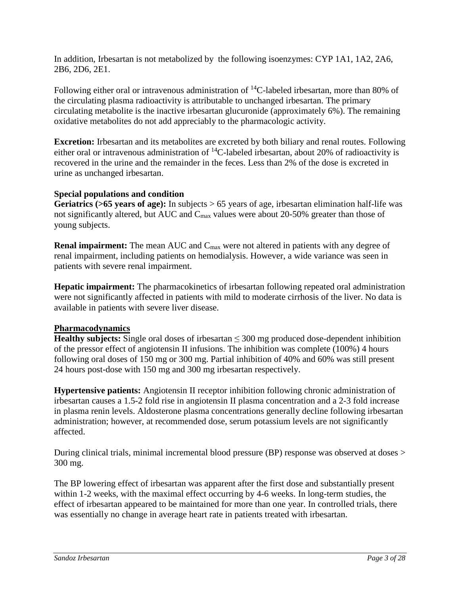In addition, Irbesartan is not metabolized by the following isoenzymes: CYP 1A1, 1A2, 2A6, 2B6, 2D6, 2E1.

Following either oral or intravenous administration of  ${}^{14}C$ -labeled irbesartan, more than 80% of the circulating plasma radioactivity is attributable to unchanged irbesartan. The primary circulating metabolite is the inactive irbesartan glucuronide (approximately 6%). The remaining oxidative metabolites do not add appreciably to the pharmacologic activity.

**Excretion:** Irbesartan and its metabolites are excreted by both biliary and renal routes. Following either oral or intravenous administration of  ${}^{14}$ C-labeled irbesartan, about 20% of radioactivity is recovered in the urine and the remainder in the feces. Less than 2% of the dose is excreted in urine as unchanged irbesartan.

# **Special populations and condition**

**Geriatrics (>65 years of age):** In subjects > 65 years of age, irbesartan elimination half-life was not significantly altered, but AUC and Cmax values were about 20-50% greater than those of young subjects.

**Renal impairment:** The mean AUC and C<sub>max</sub> were not altered in patients with any degree of renal impairment, including patients on hemodialysis. However, a wide variance was seen in patients with severe renal impairment.

**Hepatic impairment:** The pharmacokinetics of irbesartan following repeated oral administration were not significantly affected in patients with mild to moderate cirrhosis of the liver. No data is available in patients with severe liver disease.

# **Pharmacodynamics**

**Healthy subjects:** Single oral doses of irbesartan  $\leq$  300 mg produced dose-dependent inhibition of the pressor effect of angiotensin II infusions. The inhibition was complete (100%) 4 hours following oral doses of 150 mg or 300 mg. Partial inhibition of 40% and 60% was still present 24 hours post-dose with 150 mg and 300 mg irbesartan respectively.

**Hypertensive patients:** Angiotensin II receptor inhibition following chronic administration of irbesartan causes a 1.5-2 fold rise in angiotensin II plasma concentration and a 2-3 fold increase in plasma renin levels. Aldosterone plasma concentrations generally decline following irbesartan administration; however, at recommended dose, serum potassium levels are not significantly affected.

During clinical trials, minimal incremental blood pressure (BP) response was observed at doses > 300 mg.

The BP lowering effect of irbesartan was apparent after the first dose and substantially present within 1-2 weeks, with the maximal effect occurring by 4-6 weeks. In long-term studies, the effect of irbesartan appeared to be maintained for more than one year. In controlled trials, there was essentially no change in average heart rate in patients treated with irbesartan.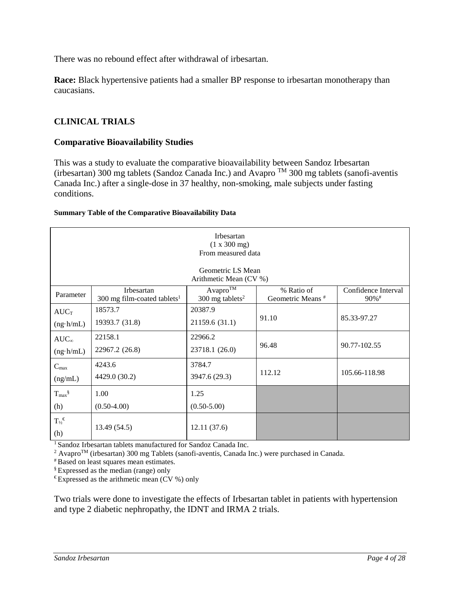There was no rebound effect after withdrawal of irbesartan.

**Race:** Black hypertensive patients had a smaller BP response to irbesartan monotherapy than caucasians.

# **CLINICAL TRIALS**

## **Comparative Bioavailability Studies**

This was a study to evaluate the comparative bioavailability between Sandoz Irbesartan (irbesartan) 300 mg tablets (Sandoz Canada Inc.) and Avapro  $^{TM}$  300 mg tablets (sanofi-aventis Canada Inc.) after a single-dose in 37 healthy, non-smoking, male subjects under fasting conditions.

### **Summary Table of the Comparative Bioavailability Data**

| Irbesartan<br>(1 x 300 mg)<br>From measured data |                                                                                                                                                                                                   |                                             |        |               |  |  |  |
|--------------------------------------------------|---------------------------------------------------------------------------------------------------------------------------------------------------------------------------------------------------|---------------------------------------------|--------|---------------|--|--|--|
|                                                  |                                                                                                                                                                                                   | Geometric LS Mean<br>Arithmetic Mean (CV %) |        |               |  |  |  |
| Parameter                                        | $A$ vapro $\overline{^{TM}}$<br>% Ratio of<br>Confidence Interval<br>Irbesartan<br>Geometric Means <sup>#</sup><br>300 mg tablets <sup>2</sup><br>90%#<br>300 mg film-coated tablets <sup>1</sup> |                                             |        |               |  |  |  |
| $AUC_T$<br>$(ng \cdot h/mL)$                     | 18573.7<br>19393.7 (31.8)                                                                                                                                                                         | 20387.9<br>21159.6 (31.1)                   | 91.10  | 85.33-97.27   |  |  |  |
| $AUC_{\infty}$<br>$(ng \cdot h/mL)$              | 22158.1<br>22967.2 (26.8)                                                                                                                                                                         | 22966.2<br>23718.1 (26.0)                   | 96.48  | 90.77-102.55  |  |  |  |
| $C_{\text{max}}$<br>(ng/mL)                      | 4243.6<br>4429.0 (30.2)                                                                                                                                                                           | 3784.7<br>3947.6 (29.3)                     | 112.12 | 105.66-118.98 |  |  |  |
| $T_{max}$ §<br>(h)                               | 1.00<br>$(0.50-4.00)$                                                                                                                                                                             | 1.25<br>$(0.50 - 5.00)$                     |        |               |  |  |  |
| $T_{\mathcal{V}_2}{}^{\varepsilon}$<br>(h)       | 13.49 (54.5)                                                                                                                                                                                      | 12.11(37.6)                                 |        |               |  |  |  |

1 Sandoz Irbesartan tablets manufactured for Sandoz Canada Inc.

<sup>2</sup> Avapro<sup>TM</sup> (irbesartan) 300 mg Tablets (sanofi-aventis, Canada Inc.) were purchased in Canada.

# Based on least squares mean estimates.

§ Expressed as the median (range) only

 $E$  Expressed as the arithmetic mean (CV %) only

Two trials were done to investigate the effects of Irbesartan tablet in patients with hypertension and type 2 diabetic nephropathy, the IDNT and IRMA 2 trials.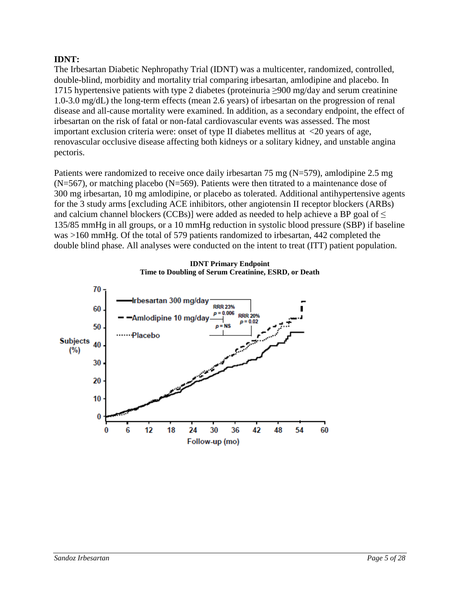# **IDNT:**

The Irbesartan Diabetic Nephropathy Trial (IDNT) was a multicenter, randomized, controlled, double-blind, morbidity and mortality trial comparing irbesartan, amlodipine and placebo. In 1715 hypertensive patients with type 2 diabetes (proteinuria ≥900 mg/day and serum creatinine 1.0-3.0 mg/dL) the long-term effects (mean 2.6 years) of irbesartan on the progression of renal disease and all-cause mortality were examined. In addition, as a secondary endpoint, the effect of irbesartan on the risk of fatal or non-fatal cardiovascular events was assessed. The most important exclusion criteria were: onset of type II diabetes mellitus at <20 years of age, renovascular occlusive disease affecting both kidneys or a solitary kidney, and unstable angina pectoris.

Patients were randomized to receive once daily irbesartan 75 mg (N=579), amlodipine 2.5 mg  $(N=567)$ , or matching placebo  $(N=569)$ . Patients were then titrated to a maintenance dose of 300 mg irbesartan, 10 mg amlodipine, or placebo as tolerated. Additional antihypertensive agents for the 3 study arms [excluding ACE inhibitors, other angiotensin II receptor blockers (ARBs) and calcium channel blockers (CCBs)] were added as needed to help achieve a BP goal of  $\leq$ 135/85 mmHg in all groups, or a 10 mmHg reduction in systolic blood pressure (SBP) if baseline was >160 mmHg. Of the total of 579 patients randomized to irbesartan, 442 completed the double blind phase. All analyses were conducted on the intent to treat (ITT) patient population.



**IDNT Primary Endpoint Time to Doubling of Serum Creatinine, ESRD, or Death**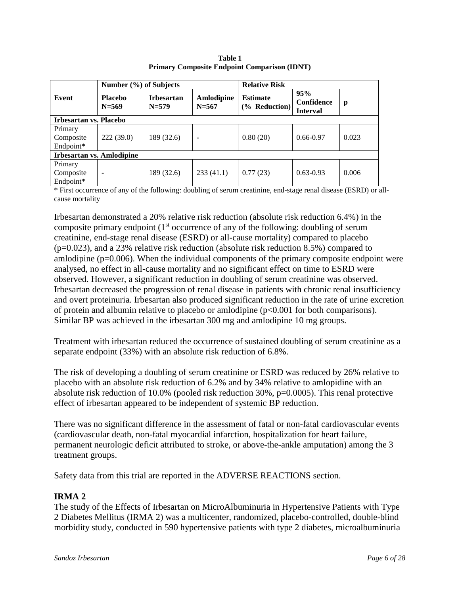|                               | Number (%) of Subjects           |                                |                         | <b>Relative Risk</b>                |                                      |       |  |  |
|-------------------------------|----------------------------------|--------------------------------|-------------------------|-------------------------------------|--------------------------------------|-------|--|--|
| Event                         | <b>Placebo</b><br>$N = 569$      | <b>Irbesartan</b><br>$N = 579$ | Amlodipine<br>$N = 567$ | <b>Estimate</b><br>$(\%$ Reduction) | 95%<br>Confidence<br><b>Interval</b> | p     |  |  |
| <b>Irbesartan vs. Placebo</b> |                                  |                                |                         |                                     |                                      |       |  |  |
| Primary                       |                                  |                                |                         |                                     |                                      |       |  |  |
| Composite                     | 222(39.0)                        | 189 (32.6)                     | ۰                       | 0.80(20)                            | $0.66 - 0.97$                        | 0.023 |  |  |
| Endpoint*                     |                                  |                                |                         |                                     |                                      |       |  |  |
|                               | <b>Irbesartan vs. Amlodipine</b> |                                |                         |                                     |                                      |       |  |  |
| Primary                       |                                  |                                |                         |                                     |                                      |       |  |  |
| Composite                     |                                  | 189 (32.6)                     | 233(41.1)               | 0.77(23)                            | $0.63 - 0.93$                        | 0.006 |  |  |
| Endpoint*                     |                                  |                                |                         |                                     |                                      |       |  |  |

**Table 1 Primary Composite Endpoint Comparison (IDNT)**

\* First occurrence of any of the following: doubling of serum creatinine, end-stage renal disease (ESRD) or allcause mortality

Irbesartan demonstrated a 20% relative risk reduction (absolute risk reduction 6.4%) in the composite primary endpoint  $(1<sup>st</sup>$  occurrence of any of the following: doubling of serum creatinine, end-stage renal disease (ESRD) or all-cause mortality) compared to placebo (p=0.023), and a 23% relative risk reduction (absolute risk reduction 8.5%) compared to amlodipine (p=0.006). When the individual components of the primary composite endpoint were analysed, no effect in all-cause mortality and no significant effect on time to ESRD were observed. However, a significant reduction in doubling of serum creatinine was observed. Irbesartan decreased the progression of renal disease in patients with chronic renal insufficiency and overt proteinuria. Irbesartan also produced significant reduction in the rate of urine excretion of protein and albumin relative to placebo or amlodipine (p<0.001 for both comparisons). Similar BP was achieved in the irbesartan 300 mg and amlodipine 10 mg groups.

Treatment with irbesartan reduced the occurrence of sustained doubling of serum creatinine as a separate endpoint (33%) with an absolute risk reduction of 6.8%.

The risk of developing a doubling of serum creatinine or ESRD was reduced by 26% relative to placebo with an absolute risk reduction of 6.2% and by 34% relative to amlopidine with an absolute risk reduction of 10.0% (pooled risk reduction 30%, p=0.0005). This renal protective effect of irbesartan appeared to be independent of systemic BP reduction.

There was no significant difference in the assessment of fatal or non-fatal cardiovascular events (cardiovascular death, non-fatal myocardial infarction, hospitalization for heart failure, permanent neurologic deficit attributed to stroke, or above-the-ankle amputation) among the 3 treatment groups.

Safety data from this trial are reported in the ADVERSE REACTIONS section.

# **IRMA 2**

The study of the Effects of Irbesartan on MicroAlbuminuria in Hypertensive Patients with Type 2 Diabetes Mellitus (IRMA 2) was a multicenter, randomized, placebo-controlled, double-blind morbidity study, conducted in 590 hypertensive patients with type 2 diabetes, microalbuminuria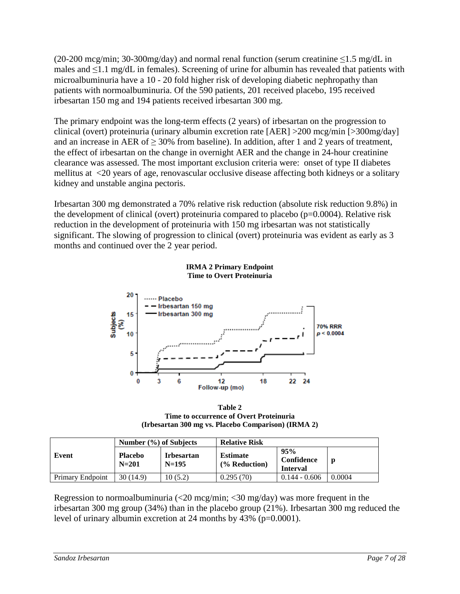(20-200 mcg/min; 30-300mg/day) and normal renal function (serum creatinine ≤1.5 mg/dL in males and  $\leq$ 1.1 mg/dL in females). Screening of urine for albumin has revealed that patients with microalbuminuria have a 10 - 20 fold higher risk of developing diabetic nephropathy than patients with normoalbuminuria. Of the 590 patients, 201 received placebo, 195 received irbesartan 150 mg and 194 patients received irbesartan 300 mg.

The primary endpoint was the long-term effects (2 years) of irbesartan on the progression to clinical (overt) proteinuria (urinary albumin excretion rate [AER] >200 mcg/min [>300mg/day] and an increase in AER of  $\geq$  30% from baseline). In addition, after 1 and 2 years of treatment, the effect of irbesartan on the change in overnight AER and the change in 24-hour creatinine clearance was assessed. The most important exclusion criteria were: onset of type II diabetes mellitus at <20 years of age, renovascular occlusive disease affecting both kidneys or a solitary kidney and unstable angina pectoris.

Irbesartan 300 mg demonstrated a 70% relative risk reduction (absolute risk reduction 9.8%) in the development of clinical (overt) proteinuria compared to placebo ( $p=0.0004$ ). Relative risk reduction in the development of proteinuria with 150 mg irbesartan was not statistically significant. The slowing of progression to clinical (overt) proteinuria was evident as early as 3 months and continued over the 2 year period.



**IRMA 2 Primary Endpoint Time to Overt Proteinuria**

**Table 2 Time to occurrence of Overt Proteinuria (Irbesartan 300 mg vs. Placebo Comparison) (IRMA 2)**

|                  | Number $(\%)$ of Subjects   |                               | <b>Relative Risk</b>                        |                                      |        |  |
|------------------|-----------------------------|-------------------------------|---------------------------------------------|--------------------------------------|--------|--|
| Event            | <b>Placebo</b><br>$N = 201$ | <b>I</b> rbesartan<br>$N=195$ | <b>Estimate</b><br>$\frac{6}{6}$ Reduction) | 95%<br>Confidence<br><b>Interval</b> | p      |  |
| Primary Endpoint | 30(14.9)                    | 10(5.2)                       | 0.295(70)                                   | $0.144 - 0.606$                      | 0.0004 |  |

Regression to normoalbuminuria  $\langle 20 \text{~mg/min}; 30 \text{~mg/day}}$  was more frequent in the irbesartan 300 mg group (34%) than in the placebo group (21%). Irbesartan 300 mg reduced the level of urinary albumin excretion at 24 months by 43% (p=0.0001).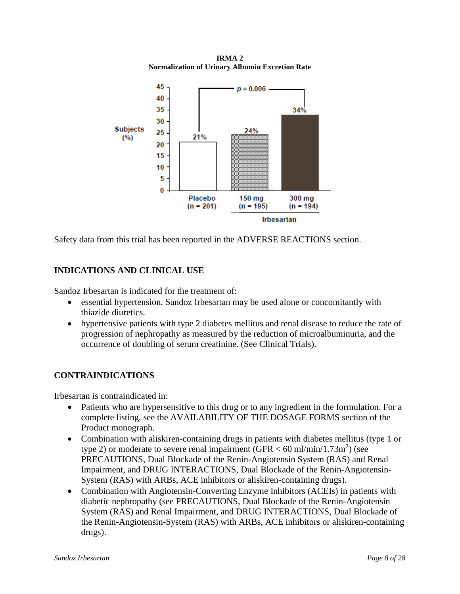**IRMA 2 Normalization of Urinary Albumin Excretion Rate**



Safety data from this trial has been reported in the ADVERSE REACTIONS section.

# **INDICATIONS AND CLINICAL USE**

Sandoz Irbesartan is indicated for the treatment of:

- essential hypertension. Sandoz Irbesartan may be used alone or concomitantly with thiazide diuretics.
- hypertensive patients with type 2 diabetes mellitus and renal disease to reduce the rate of progression of nephropathy as measured by the reduction of microalbuminuria, and the occurrence of doubling of serum creatinine. (See Clinical Trials).

# **CONTRAINDICATIONS**

Irbesartan is contraindicated in:

- Patients who are hypersensitive to this drug or to any ingredient in the formulation. For a complete listing, see the AVAILABILITY OF THE DOSAGE FORMS section of the Product monograph.
- Combination with a liskiren-containing drugs in patients with diabetes mellitus (type 1 or type 2) or moderate to severe renal impairment (GFR  $<$  60 ml/min/1.73m<sup>2</sup>) (see PRECAUTIONS, Dual Blockade of the Renin-Angiotensin System (RAS) and Renal Impairment, and DRUG INTERACTIONS, Dual Blockade of the Renin-Angiotensin-System (RAS) with ARBs, ACE inhibitors or aliskiren-containing drugs).
- Combination with Angiotensin-Converting Enzyme Inhibitors (ACEIs) in patients with diabetic nephropathy (see PRECAUTIONS, Dual Blockade of the Renin-Angiotensin System (RAS) and Renal Impairment, and DRUG INTERACTIONS, Dual Blockade of the Renin-Angiotensin-System (RAS) with ARBs, ACE inhibitors or aliskiren-containing drugs).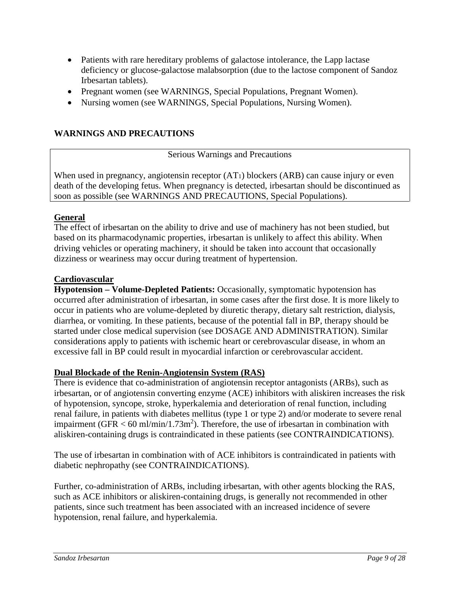- Patients with rare hereditary problems of galactose intolerance, the Lapp lactase deficiency or glucose-galactose malabsorption (due to the lactose component of Sandoz Irbesartan tablets).
- Pregnant women (see WARNINGS, Special Populations, Pregnant Women).
- Nursing women (see WARNINGS, Special Populations, Nursing Women).

# **WARNINGS AND PRECAUTIONS**

Serious Warnings and Precautions

When used in pregnancy, angiotensin receptor  $(AT_1)$  blockers  $(ARB)$  can cause injury or even death of the developing fetus. When pregnancy is detected, irbesartan should be discontinued as soon as possible (see WARNINGS AND PRECAUTIONS, Special Populations).

## **General**

The effect of irbesartan on the ability to drive and use of machinery has not been studied, but based on its pharmacodynamic properties, irbesartan is unlikely to affect this ability. When driving vehicles or operating machinery, it should be taken into account that occasionally dizziness or weariness may occur during treatment of hypertension.

## **Cardiovascular**

**Hypotension – Volume-Depleted Patients:** Occasionally, symptomatic hypotension has occurred after administration of irbesartan, in some cases after the first dose. It is more likely to occur in patients who are volume-depleted by diuretic therapy, dietary salt restriction, dialysis, diarrhea, or vomiting. In these patients, because of the potential fall in BP, therapy should be started under close medical supervision (see DOSAGE AND ADMINISTRATION). Similar considerations apply to patients with ischemic heart or cerebrovascular disease, in whom an excessive fall in BP could result in myocardial infarction or cerebrovascular accident.

# **Dual Blockade of the Renin-Angiotensin System (RAS)**

There is evidence that co-administration of angiotensin receptor antagonists (ARBs), such as irbesartan, or of angiotensin converting enzyme (ACE) inhibitors with aliskiren increases the risk of hypotension, syncope, stroke, hyperkalemia and deterioration of renal function, including renal failure, in patients with diabetes mellitus (type 1 or type 2) and/or moderate to severe renal impairment (GFR  $<$  60 ml/min/1.73m<sup>2</sup>). Therefore, the use of irbesartan in combination with aliskiren-containing drugs is contraindicated in these patients (see CONTRAINDICATIONS).

The use of irbesartan in combination with of ACE inhibitors is contraindicated in patients with diabetic nephropathy (see CONTRAINDICATIONS).

Further, co-administration of ARBs, including irbesartan, with other agents blocking the RAS, such as ACE inhibitors or aliskiren-containing drugs, is generally not recommended in other patients, since such treatment has been associated with an increased incidence of severe hypotension, renal failure, and hyperkalemia.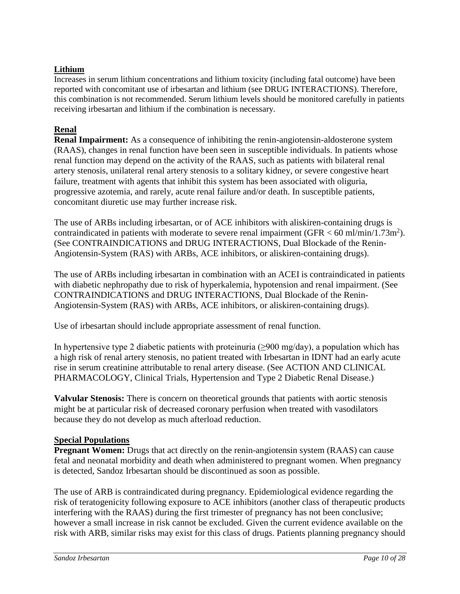# **Lithium**

Increases in serum lithium concentrations and lithium toxicity (including fatal outcome) have been reported with concomitant use of irbesartan and lithium (see DRUG INTERACTIONS). Therefore, this combination is not recommended. Serum lithium levels should be monitored carefully in patients receiving irbesartan and lithium if the combination is necessary.

# **Renal**

**Renal Impairment:** As a consequence of inhibiting the renin-angiotensin-aldosterone system (RAAS), changes in renal function have been seen in susceptible individuals. In patients whose renal function may depend on the activity of the RAAS, such as patients with bilateral renal artery stenosis, unilateral renal artery stenosis to a solitary kidney, or severe congestive heart failure, treatment with agents that inhibit this system has been associated with oliguria, progressive azotemia, and rarely, acute renal failure and/or death. In susceptible patients, concomitant diuretic use may further increase risk.

The use of ARBs including irbesartan, or of ACE inhibitors with aliskiren-containing drugs is contraindicated in patients with moderate to severe renal impairment (GFR  $<$  60 ml/min/1.73m<sup>2</sup>). (See CONTRAINDICATIONS and DRUG INTERACTIONS, Dual Blockade of the Renin-Angiotensin-System (RAS) with ARBs, ACE inhibitors, or aliskiren-containing drugs).

The use of ARBs including irbesartan in combination with an ACEI is contraindicated in patients with diabetic nephropathy due to risk of hyperkalemia, hypotension and renal impairment. (See CONTRAINDICATIONS and DRUG INTERACTIONS, Dual Blockade of the Renin-Angiotensin-System (RAS) with ARBs, ACE inhibitors, or aliskiren-containing drugs).

Use of irbesartan should include appropriate assessment of renal function.

In hypertensive type 2 diabetic patients with proteinuria ( $\geq$ 900 mg/day), a population which has a high risk of renal artery stenosis, no patient treated with Irbesartan in IDNT had an early acute rise in serum creatinine attributable to renal artery disease. (See ACTION AND CLINICAL PHARMACOLOGY, Clinical Trials, Hypertension and Type 2 Diabetic Renal Disease.)

**Valvular Stenosis:** There is concern on theoretical grounds that patients with aortic stenosis might be at particular risk of decreased coronary perfusion when treated with vasodilators because they do not develop as much afterload reduction.

# **Special Populations**

**Pregnant Women:** Drugs that act directly on the renin-angiotensin system (RAAS) can cause fetal and neonatal morbidity and death when administered to pregnant women. When pregnancy is detected, Sandoz Irbesartan should be discontinued as soon as possible.

The use of ARB is contraindicated during pregnancy. Epidemiological evidence regarding the risk of teratogenicity following exposure to ACE inhibitors (another class of therapeutic products interfering with the RAAS) during the first trimester of pregnancy has not been conclusive; however a small increase in risk cannot be excluded. Given the current evidence available on the risk with ARB, similar risks may exist for this class of drugs. Patients planning pregnancy should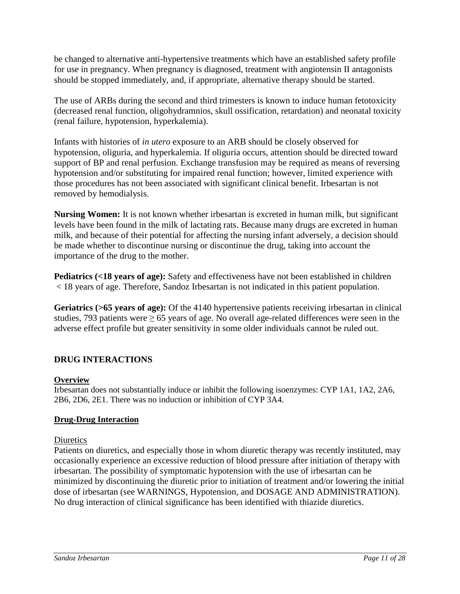be changed to alternative anti-hypertensive treatments which have an established safety profile for use in pregnancy. When pregnancy is diagnosed, treatment with angiotensin II antagonists should be stopped immediately, and, if appropriate, alternative therapy should be started.

The use of ARBs during the second and third trimesters is known to induce human fetotoxicity (decreased renal function, oligohydramnios, skull ossification, retardation) and neonatal toxicity (renal failure, hypotension, hyperkalemia).

Infants with histories of *in utero* exposure to an ARB should be closely observed for hypotension, oliguria, and hyperkalemia. If oliguria occurs, attention should be directed toward support of BP and renal perfusion. Exchange transfusion may be required as means of reversing hypotension and/or substituting for impaired renal function; however, limited experience with those procedures has not been associated with significant clinical benefit. Irbesartan is not removed by hemodialysis.

**Nursing Women:** It is not known whether irbesartan is excreted in human milk, but significant levels have been found in the milk of lactating rats. Because many drugs are excreted in human milk, and because of their potential for affecting the nursing infant adversely, a decision should be made whether to discontinue nursing or discontinue the drug, taking into account the importance of the drug to the mother.

**Pediatrics (<18 years of age):** Safety and effectiveness have not been established in children < 18 years of age. Therefore, Sandoz Irbesartan is not indicated in this patient population.

**Geriatrics (>65 years of age):** Of the 4140 hypertensive patients receiving irbesartan in clinical studies, 793 patients were  $\geq 65$  years of age. No overall age-related differences were seen in the adverse effect profile but greater sensitivity in some older individuals cannot be ruled out.

# **DRUG INTERACTIONS**

# **Overview**

Irbesartan does not substantially induce or inhibit the following isoenzymes: CYP 1A1, 1A2, 2A6, 2B6, 2D6, 2E1. There was no induction or inhibition of CYP 3A4.

# **Drug-Drug Interaction**

# **Diuretics**

Patients on diuretics, and especially those in whom diuretic therapy was recently instituted, may occasionally experience an excessive reduction of blood pressure after initiation of therapy with irbesartan. The possibility of symptomatic hypotension with the use of irbesartan can be minimized by discontinuing the diuretic prior to initiation of treatment and/or lowering the initial dose of irbesartan (see WARNINGS, Hypotension, and DOSAGE AND ADMINISTRATION). No drug interaction of clinical significance has been identified with thiazide diuretics.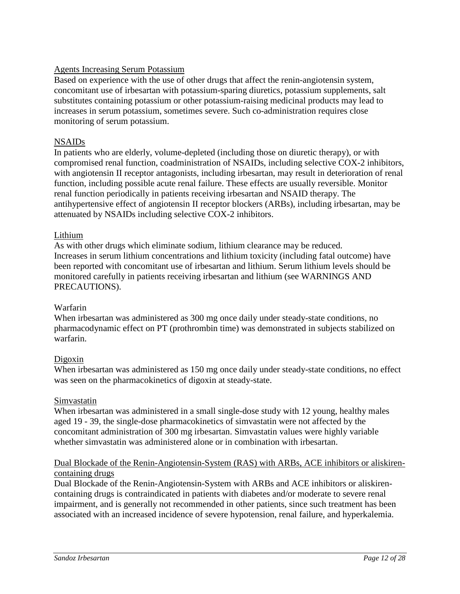# Agents Increasing Serum Potassium

Based on experience with the use of other drugs that affect the renin-angiotensin system, concomitant use of irbesartan with potassium-sparing diuretics, potassium supplements, salt substitutes containing potassium or other potassium-raising medicinal products may lead to increases in serum potassium, sometimes severe. Such co-administration requires close monitoring of serum potassium.

# NSAIDs

In patients who are elderly, volume-depleted (including those on diuretic therapy), or with compromised renal function, coadministration of NSAIDs, including selective COX-2 inhibitors, with angiotensin II receptor antagonists, including irbesartan, may result in deterioration of renal function, including possible acute renal failure. These effects are usually reversible. Monitor renal function periodically in patients receiving irbesartan and NSAID therapy. The antihypertensive effect of angiotensin II receptor blockers (ARBs), including irbesartan, may be attenuated by NSAIDs including selective COX-2 inhibitors.

## Lithium

As with other drugs which eliminate sodium, lithium clearance may be reduced. Increases in serum lithium concentrations and lithium toxicity (including fatal outcome) have been reported with concomitant use of irbesartan and lithium. Serum lithium levels should be monitored carefully in patients receiving irbesartan and lithium (see WARNINGS AND PRECAUTIONS).

## Warfarin

When irbesartan was administered as 300 mg once daily under steady-state conditions, no pharmacodynamic effect on PT (prothrombin time) was demonstrated in subjects stabilized on warfarin.

# Digoxin

When irbesartan was administered as 150 mg once daily under steady-state conditions, no effect was seen on the pharmacokinetics of digoxin at steady-state.

## Simvastatin

When irbesartan was administered in a small single-dose study with 12 young, healthy males aged 19 - 39, the single-dose pharmacokinetics of simvastatin were not affected by the concomitant administration of 300 mg irbesartan. Simvastatin values were highly variable whether simvastatin was administered alone or in combination with irbesartan.

## Dual Blockade of the Renin-Angiotensin-System (RAS) with ARBs, ACE inhibitors or aliskirencontaining drugs

Dual Blockade of the Renin-Angiotensin-System with ARBs and ACE inhibitors or aliskirencontaining drugs is contraindicated in patients with diabetes and/or moderate to severe renal impairment, and is generally not recommended in other patients, since such treatment has been associated with an increased incidence of severe hypotension, renal failure, and hyperkalemia.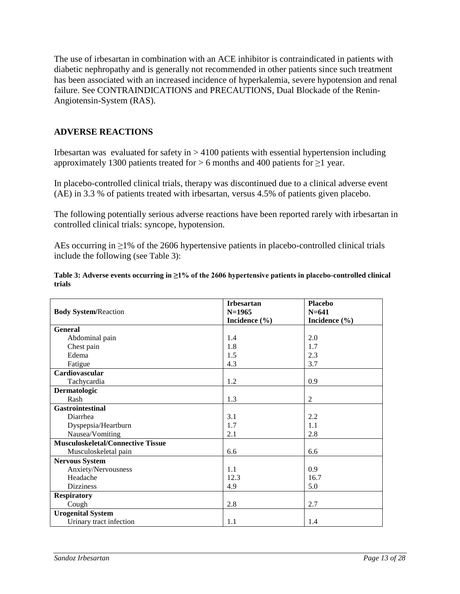The use of irbesartan in combination with an ACE inhibitor is contraindicated in patients with diabetic nephropathy and is generally not recommended in other patients since such treatment has been associated with an increased incidence of hyperkalemia, severe hypotension and renal failure. See CONTRAINDICATIONS and PRECAUTIONS, Dual Blockade of the Renin-Angiotensin-System (RAS).

# **ADVERSE REACTIONS**

Irbesartan was evaluated for safety in  $> 4100$  patients with essential hypertension including approximately 1300 patients treated for > 6 months and 400 patients for ≥1 year.

In placebo-controlled clinical trials, therapy was discontinued due to a clinical adverse event (AE) in 3.3 % of patients treated with irbesartan, versus 4.5% of patients given placebo.

The following potentially serious adverse reactions have been reported rarely with irbesartan in controlled clinical trials: syncope, hypotension.

AEs occurring in ≥1% of the 2606 hypertensive patients in placebo-controlled clinical trials include the following (see Table 3):

|                                          | <b>Irbesartan</b> | <b>Placebo</b>    |
|------------------------------------------|-------------------|-------------------|
| <b>Body System/Reaction</b>              | $N=1965$          | $N = 641$         |
|                                          | Incidence $(\% )$ | Incidence $(\% )$ |
| General                                  |                   |                   |
| Abdominal pain                           | 1.4               | 2.0               |
| Chest pain                               | 1.8               | 1.7               |
| Edema                                    | 1.5               | 2.3               |
| Fatigue                                  | 4.3               | 3.7               |
| Cardiovascular                           |                   |                   |
| Tachycardia                              | 1.2               | 0.9               |
| Dermatologic                             |                   |                   |
| Rash                                     | 1.3               | $\overline{2}$    |
| <b>Gastrointestinal</b>                  |                   |                   |
| Diarrhea                                 | 3.1               | 2.2               |
| Dyspepsia/Heartburn                      | 1.7               | 1.1               |
| Nausea/Vomiting                          | 2.1               | 2.8               |
| <b>Musculoskeletal/Connective Tissue</b> |                   |                   |
| Musculoskeletal pain                     | 6.6               | 6.6               |
| <b>Nervous System</b>                    |                   |                   |
| Anxiety/Nervousness                      | 1.1               | 0.9               |
| Headache                                 | 12.3              | 16.7              |
| <b>Dizziness</b>                         | 4.9               | 5.0               |
| <b>Respiratory</b>                       |                   |                   |
| Cough                                    | 2.8               | 2.7               |
| <b>Urogenital System</b>                 |                   |                   |
| Urinary tract infection                  | 1.1               | 1.4               |

**Table 3: Adverse events occurring in ≥1% of the 2606 hypertensive patients in placebo-controlled clinical trials**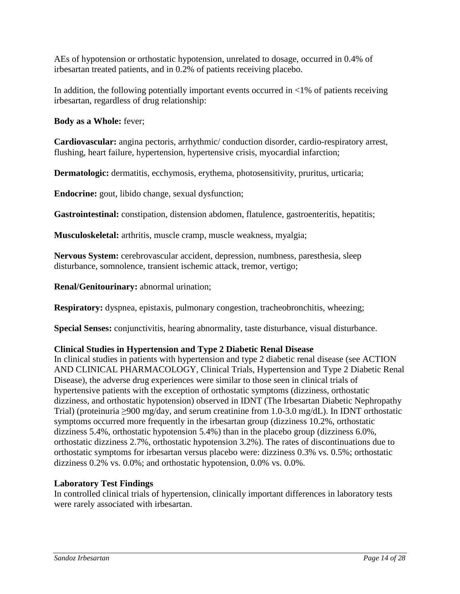AEs of hypotension or orthostatic hypotension, unrelated to dosage, occurred in 0.4% of irbesartan treated patients, and in 0.2% of patients receiving placebo.

In addition, the following potentially important events occurred in  $\langle 1\%$  of patients receiving irbesartan, regardless of drug relationship:

**Body as a Whole:** fever;

**Cardiovascular:** angina pectoris, arrhythmic/ conduction disorder, cardio-respiratory arrest, flushing, heart failure, hypertension, hypertensive crisis, myocardial infarction;

**Dermatologic:** dermatitis, ecchymosis, erythema, photosensitivity, pruritus, urticaria;

**Endocrine:** gout, libido change, sexual dysfunction;

**Gastrointestinal:** constipation, distension abdomen, flatulence, gastroenteritis, hepatitis;

**Musculoskeletal:** arthritis, muscle cramp, muscle weakness, myalgia;

**Nervous System:** cerebrovascular accident, depression, numbness, paresthesia, sleep disturbance, somnolence, transient ischemic attack, tremor, vertigo;

**Renal/Genitourinary:** abnormal urination;

**Respiratory:** dyspnea, epistaxis, pulmonary congestion, tracheobronchitis, wheezing;

**Special Senses:** conjunctivitis, hearing abnormality, taste disturbance, visual disturbance.

# **Clinical Studies in Hypertension and Type 2 Diabetic Renal Disease**

In clinical studies in patients with hypertension and type 2 diabetic renal disease (see ACTION AND CLINICAL PHARMACOLOGY, Clinical Trials, Hypertension and Type 2 Diabetic Renal Disease), the adverse drug experiences were similar to those seen in clinical trials of hypertensive patients with the exception of orthostatic symptoms (dizziness, orthostatic dizziness, and orthostatic hypotension) observed in IDNT (The Irbesartan Diabetic Nephropathy Trial) (proteinuria ≥900 mg/day, and serum creatinine from 1.0-3.0 mg/dL). In IDNT orthostatic symptoms occurred more frequently in the irbesartan group (dizziness 10.2%, orthostatic dizziness 5.4%, orthostatic hypotension 5.4%) than in the placebo group (dizziness 6.0%, orthostatic dizziness 2.7%, orthostatic hypotension 3.2%). The rates of discontinuations due to orthostatic symptoms for irbesartan versus placebo were: dizziness 0.3% vs. 0.5%; orthostatic dizziness 0.2% vs. 0.0%; and orthostatic hypotension, 0.0% vs. 0.0%.

# **Laboratory Test Findings**

In controlled clinical trials of hypertension, clinically important differences in laboratory tests were rarely associated with irbesartan.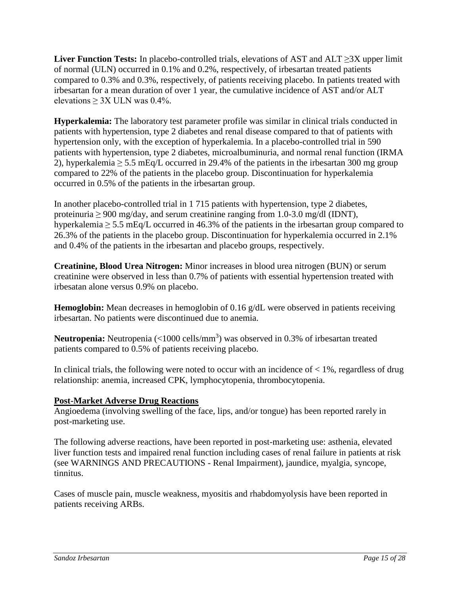**Liver Function Tests:** In placebo-controlled trials, elevations of AST and ALT ≥3X upper limit of normal (ULN) occurred in 0.1% and 0.2%, respectively, of irbesartan treated patients compared to 0.3% and 0.3%, respectively, of patients receiving placebo. In patients treated with irbesartan for a mean duration of over 1 year, the cumulative incidence of AST and/or ALT elevations  $> 3X$  ULN was 0.4%.

**Hyperkalemia:** The laboratory test parameter profile was similar in clinical trials conducted in patients with hypertension, type 2 diabetes and renal disease compared to that of patients with hypertension only, with the exception of hyperkalemia. In a placebo-controlled trial in 590 patients with hypertension, type 2 diabetes, microalbuminuria, and normal renal function (IRMA 2), hyperkalemia  $\geq 5.5$  mEq/L occurred in 29.4% of the patients in the irbesartan 300 mg group compared to 22% of the patients in the placebo group. Discontinuation for hyperkalemia occurred in 0.5% of the patients in the irbesartan group.

In another placebo-controlled trial in 1 715 patients with hypertension, type 2 diabetes, proteinuria  $\geq 900$  mg/day, and serum creatinine ranging from 1.0-3.0 mg/dl (IDNT), hyperkalemia  $\geq$  5.5 mEq/L occurred in 46.3% of the patients in the irbesartan group compared to 26.3% of the patients in the placebo group. Discontinuation for hyperkalemia occurred in 2.1% and 0.4% of the patients in the irbesartan and placebo groups, respectively.

**Creatinine, Blood Urea Nitrogen:** Minor increases in blood urea nitrogen (BUN) or serum creatinine were observed in less than 0.7% of patients with essential hypertension treated with irbesatan alone versus 0.9% on placebo.

**Hemoglobin:** Mean decreases in hemoglobin of 0.16 g/dL were observed in patients receiving irbesartan. No patients were discontinued due to anemia.

**Neutropenia:** Neutropenia (<1000 cells/mm<sup>3</sup>) was observed in 0.3% of irbesartan treated patients compared to 0.5% of patients receiving placebo.

In clinical trials, the following were noted to occur with an incidence of  $\lt 1\%$ , regardless of drug relationship: anemia, increased CPK, lymphocytopenia, thrombocytopenia.

# **Post-Market Adverse Drug Reactions**

Angioedema (involving swelling of the face, lips, and/or tongue) has been reported rarely in post-marketing use.

The following adverse reactions, have been reported in post-marketing use: asthenia, elevated liver function tests and impaired renal function including cases of renal failure in patients at risk (see WARNINGS AND PRECAUTIONS - Renal Impairment), jaundice, myalgia, syncope, tinnitus.

Cases of muscle pain, muscle weakness, myositis and rhabdomyolysis have been reported in patients receiving ARBs.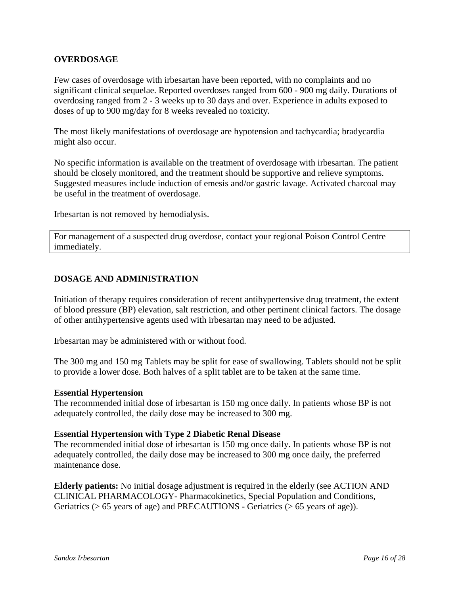# **OVERDOSAGE**

Few cases of overdosage with irbesartan have been reported, with no complaints and no significant clinical sequelae. Reported overdoses ranged from 600 - 900 mg daily. Durations of overdosing ranged from 2 - 3 weeks up to 30 days and over. Experience in adults exposed to doses of up to 900 mg/day for 8 weeks revealed no toxicity.

The most likely manifestations of overdosage are hypotension and tachycardia; bradycardia might also occur.

No specific information is available on the treatment of overdosage with irbesartan. The patient should be closely monitored, and the treatment should be supportive and relieve symptoms. Suggested measures include induction of emesis and/or gastric lavage. Activated charcoal may be useful in the treatment of overdosage.

Irbesartan is not removed by hemodialysis.

For management of a suspected drug overdose, contact your regional Poison Control Centre immediately.

# **DOSAGE AND ADMINISTRATION**

Initiation of therapy requires consideration of recent antihypertensive drug treatment, the extent of blood pressure (BP) elevation, salt restriction, and other pertinent clinical factors. The dosage of other antihypertensive agents used with irbesartan may need to be adjusted.

Irbesartan may be administered with or without food.

The 300 mg and 150 mg Tablets may be split for ease of swallowing. Tablets should not be split to provide a lower dose. Both halves of a split tablet are to be taken at the same time.

## **Essential Hypertension**

The recommended initial dose of irbesartan is 150 mg once daily. In patients whose BP is not adequately controlled, the daily dose may be increased to 300 mg.

## **Essential Hypertension with Type 2 Diabetic Renal Disease**

The recommended initial dose of irbesartan is 150 mg once daily. In patients whose BP is not adequately controlled, the daily dose may be increased to 300 mg once daily, the preferred maintenance dose.

**Elderly patients:** No initial dosage adjustment is required in the elderly (see ACTION AND CLINICAL PHARMACOLOGY- Pharmacokinetics, Special Population and Conditions, Geriatrics (> 65 years of age) and PRECAUTIONS - Geriatrics (> 65 years of age)).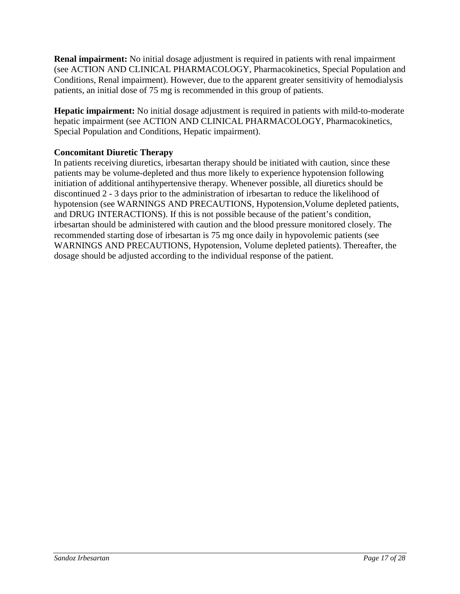**Renal impairment:** No initial dosage adjustment is required in patients with renal impairment (see ACTION AND CLINICAL PHARMACOLOGY, Pharmacokinetics, Special Population and Conditions, Renal impairment). However, due to the apparent greater sensitivity of hemodialysis patients, an initial dose of 75 mg is recommended in this group of patients.

**Hepatic impairment:** No initial dosage adjustment is required in patients with mild-to-moderate hepatic impairment (see ACTION AND CLINICAL PHARMACOLOGY, Pharmacokinetics, Special Population and Conditions, Hepatic impairment).

# **Concomitant Diuretic Therapy**

In patients receiving diuretics, irbesartan therapy should be initiated with caution, since these patients may be volume-depleted and thus more likely to experience hypotension following initiation of additional antihypertensive therapy. Whenever possible, all diuretics should be discontinued 2 - 3 days prior to the administration of irbesartan to reduce the likelihood of hypotension (see WARNINGS AND PRECAUTIONS, Hypotension,Volume depleted patients, and DRUG INTERACTIONS). If this is not possible because of the patient's condition, irbesartan should be administered with caution and the blood pressure monitored closely. The recommended starting dose of irbesartan is 75 mg once daily in hypovolemic patients (see WARNINGS AND PRECAUTIONS, Hypotension, Volume depleted patients). Thereafter, the dosage should be adjusted according to the individual response of the patient.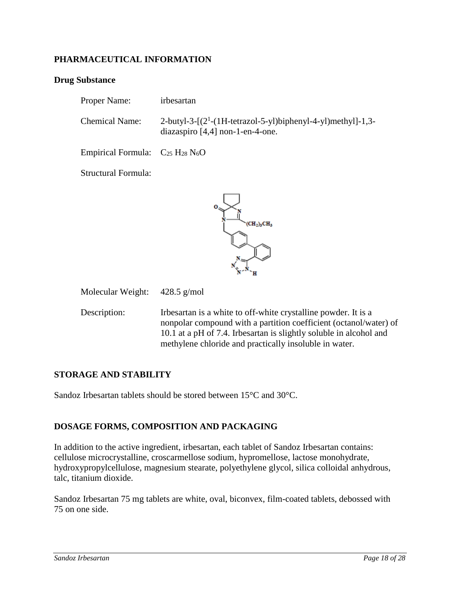# **PHARMACEUTICAL INFORMATION**

## **Drug Substance**

| Proper Name:                             | irbesartan                                                                                          |
|------------------------------------------|-----------------------------------------------------------------------------------------------------|
| <b>Chemical Name:</b>                    | 2-butyl-3- $[(2^1-(1H-tetrazo1-5-yl)binhenyl-4-yl)methyl]-1,3-$<br>diazaspiro [4,4] non-1-en-4-one. |
| Empirical Formula: $C_{25} H_{28} N_6 O$ |                                                                                                     |
| Structural Formula:                      |                                                                                                     |



Molecular Weight: 428.5 g/mol

Description: Irbesartan is a white to off-white crystalline powder. It is a nonpolar compound with a partition coefficient (octanol/water) of 10.1 at a pH of 7.4. Irbesartan is slightly soluble in alcohol and methylene chloride and practically insoluble in water.

## **STORAGE AND STABILITY**

Sandoz Irbesartan tablets should be stored between 15°C and 30°C.

# **DOSAGE FORMS, COMPOSITION AND PACKAGING**

In addition to the active ingredient, irbesartan, each tablet of Sandoz Irbesartan contains: cellulose microcrystalline, croscarmellose sodium, hypromellose, lactose monohydrate, hydroxypropylcellulose, magnesium stearate, polyethylene glycol, silica colloidal anhydrous, talc, titanium dioxide.

Sandoz Irbesartan 75 mg tablets are white, oval, biconvex, film-coated tablets, debossed with 75 on one side.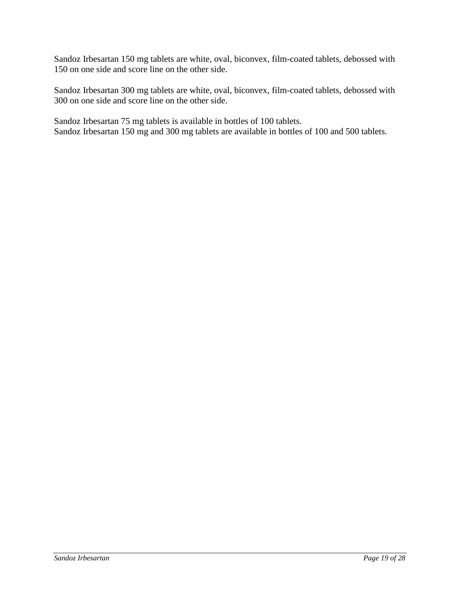Sandoz Irbesartan 150 mg tablets are white, oval, biconvex, film-coated tablets, debossed with 150 on one side and score line on the other side.

Sandoz Irbesartan 300 mg tablets are white, oval, biconvex, film-coated tablets, debossed with 300 on one side and score line on the other side.

Sandoz Irbesartan 75 mg tablets is available in bottles of 100 tablets. Sandoz Irbesartan 150 mg and 300 mg tablets are available in bottles of 100 and 500 tablets.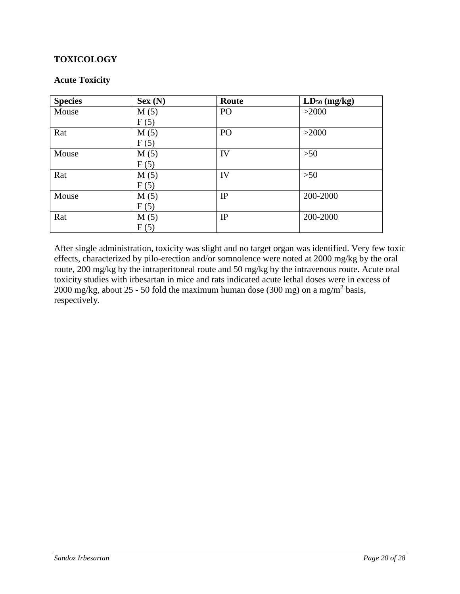# **TOXICOLOGY**

## **Acute Toxicity**

| <b>Species</b> | Sex(N) | Route           | $LD_{50}$ (mg/kg) |
|----------------|--------|-----------------|-------------------|
| Mouse          | M(5)   | PO <sub>1</sub> | >2000             |
|                | F(5)   |                 |                   |
| Rat            | M(5)   | PO              | >2000             |
|                | F(5)   |                 |                   |
| Mouse          | M(5)   | IV              | >50               |
|                | F(5)   |                 |                   |
| Rat            | M(5)   | IV              | $>50$             |
|                | F(5)   |                 |                   |
| Mouse          | M(5)   | IP              | 200-2000          |
|                | F(5)   |                 |                   |
| Rat            | M(5)   | IP              | 200-2000          |
|                | F(5)   |                 |                   |

After single administration, toxicity was slight and no target organ was identified. Very few toxic effects, characterized by pilo-erection and/or somnolence were noted at 2000 mg/kg by the oral route, 200 mg/kg by the intraperitoneal route and 50 mg/kg by the intravenous route. Acute oral toxicity studies with irbesartan in mice and rats indicated acute lethal doses were in excess of 2000 mg/kg, about 25 - 50 fold the maximum human dose (300 mg) on a mg/m<sup>2</sup> basis, respectively.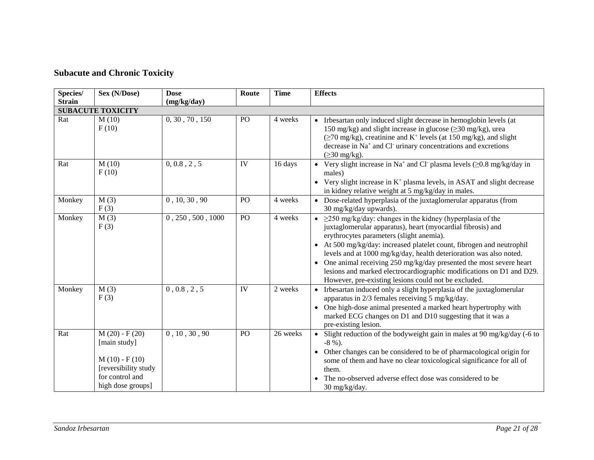# **Subacute and Chronic Toxicity**

| Species/      | Sex (N/Dose)                                                                                                       | <b>Dose</b>       | Route | <b>Time</b> | <b>Effects</b>                                                                                                                                                                                                                                                                                                                                                                                                                                                                                                                                |
|---------------|--------------------------------------------------------------------------------------------------------------------|-------------------|-------|-------------|-----------------------------------------------------------------------------------------------------------------------------------------------------------------------------------------------------------------------------------------------------------------------------------------------------------------------------------------------------------------------------------------------------------------------------------------------------------------------------------------------------------------------------------------------|
| <b>Strain</b> |                                                                                                                    | (mg/kg/day)       |       |             |                                                                                                                                                                                                                                                                                                                                                                                                                                                                                                                                               |
|               | <b>SUBACUTE TOXICITY</b>                                                                                           |                   |       |             |                                                                                                                                                                                                                                                                                                                                                                                                                                                                                                                                               |
| Rat           | M(10)<br>F(10)                                                                                                     | 0, 30, 70, 150    | PO    | 4 weeks     | • Irbesartan only induced slight decrease in hemoglobin levels (at<br>150 mg/kg) and slight increase in glucose (≥30 mg/kg), urea<br>$(\geq 70 \text{ mg/kg})$ , creatinine and K <sup>+</sup> levels (at 150 mg/kg), and slight<br>decrease in Na <sup>+</sup> and Cl <sup>-</sup> urinary concentrations and excretions<br>$(\geq 30 \text{ mg/kg}).$                                                                                                                                                                                       |
| Rat           | M(10)<br>F(10)                                                                                                     | 0, 0.8, 2, 5      | IV    | 16 days     | • Very slight increase in Na <sup>+</sup> and Cl· plasma levels $(\geq 0.8 \text{ mg/kg/day in}$<br>males)<br>• Very slight increase in $K^+$ plasma levels, in ASAT and slight decrease<br>in kidney relative weight at 5 mg/kg/day in males.                                                                                                                                                                                                                                                                                                |
| Monkey        | M(3)<br>F(3)                                                                                                       | 0, 10, 30, 90     | PO    | 4 weeks     | • Dose-related hyperplasia of the juxtaglomerular apparatus (from<br>30 mg/kg/day upwards).                                                                                                                                                                                                                                                                                                                                                                                                                                                   |
| Monkey        | M(3)<br>F(3)                                                                                                       | 0, 250, 500, 1000 | PO    | 4 weeks     | • $\geq$ 250 mg/kg/day: changes in the kidney (hyperplasia of the<br>juxtaglomerular apparatus), heart (myocardial fibrosis) and<br>erythrocytes parameters (slight anemia).<br>• At 500 mg/kg/day: increased platelet count, fibrogen and neutrophil<br>levels and at 1000 mg/kg/day, health deterioration was also noted.<br>• One animal receiving $250 \text{ mg/kg/day}$ presented the most severe heart<br>lesions and marked electrocardiographic modifications on D1 and D29.<br>However, pre-existing lesions could not be excluded. |
| Monkey        | M(3)<br>F(3)                                                                                                       | 0, 0.8, 2, 5      | IV    | 2 weeks     | • Irbesartan induced only a slight hyperplasia of the juxtaglomerular<br>apparatus in 2/3 females receiving 5 mg/kg/day.<br>• One high-dose animal presented a marked heart hypertrophy with<br>marked ECG changes on D1 and D10 suggesting that it was a<br>pre-existing lesion.                                                                                                                                                                                                                                                             |
| Rat           | $M(20) - F(20)$<br>[main study]<br>$M(10) - F(10)$<br>[reversibility study<br>for control and<br>high dose groups] | 0, 10, 30, 90     | PO    | 26 weeks    | • Slight reduction of the bodyweight gain in males at 90 mg/kg/day (-6 to<br>$-8\%$ ).<br>• Other changes can be considered to be of pharmacological origin for<br>some of them and have no clear toxicological significance for all of<br>them.<br>The no-observed adverse effect dose was considered to be<br>30 mg/kg/day.                                                                                                                                                                                                                 |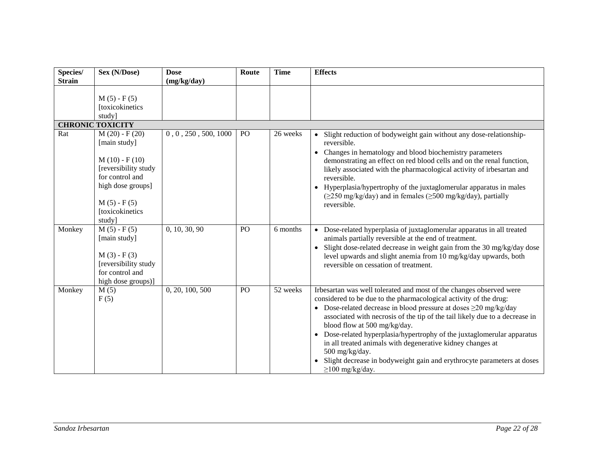| Species/      | Sex (N/Dose)                                                                                                                                                     | <b>Dose</b>          | Route | <b>Time</b> | <b>Effects</b>                                                                                                                                                                                                                                                                                                                                                                                                                                                                                                                                                                                    |
|---------------|------------------------------------------------------------------------------------------------------------------------------------------------------------------|----------------------|-------|-------------|---------------------------------------------------------------------------------------------------------------------------------------------------------------------------------------------------------------------------------------------------------------------------------------------------------------------------------------------------------------------------------------------------------------------------------------------------------------------------------------------------------------------------------------------------------------------------------------------------|
| <b>Strain</b> |                                                                                                                                                                  | (mg/kg/day)          |       |             |                                                                                                                                                                                                                                                                                                                                                                                                                                                                                                                                                                                                   |
|               | $M(5) - F(5)$<br>[toxicokinetics<br>study]                                                                                                                       |                      |       |             |                                                                                                                                                                                                                                                                                                                                                                                                                                                                                                                                                                                                   |
|               | <b>CHRONIC TOXICITY</b>                                                                                                                                          |                      |       |             |                                                                                                                                                                                                                                                                                                                                                                                                                                                                                                                                                                                                   |
| Rat           | $M(20) - F(20)$<br>[main study]<br>$M(10) - F(10)$<br>[reversibility study<br>for control and<br>high dose groups]<br>$M(5) - F(5)$<br>[toxicokinetics<br>study] | 0, 0, 250, 500, 1000 | PO    | 26 weeks    | • Slight reduction of bodyweight gain without any dose-relationship-<br>reversible.<br>• Changes in hematology and blood biochemistry parameters<br>demonstrating an effect on red blood cells and on the renal function,<br>likely associated with the pharmacological activity of irbesartan and<br>reversible.<br>• Hyperplasia/hypertrophy of the juxtaglomerular apparatus in males<br>$(\geq 250 \text{ mg/kg/day})$ and in females $(\geq 500 \text{ mg/kg/day})$ , partially<br>reversible.                                                                                               |
| Monkey        | $M(5) - F(5)$<br>[main study]<br>$M(3) - F(3)$<br>[reversibility study<br>for control and<br>high dose groups)]                                                  | 0, 10, 30, 90        | PO    | 6 months    | • Dose-related hyperplasia of juxtaglomerular apparatus in all treated<br>animals partially reversible at the end of treatment.<br>• Slight dose-related decrease in weight gain from the 30 mg/kg/day dose<br>level upwards and slight anemia from 10 mg/kg/day upwards, both<br>reversible on cessation of treatment.                                                                                                                                                                                                                                                                           |
| Monkey        | M(5)<br>F(5)                                                                                                                                                     | 0, 20, 100, 500      | PO    | 52 weeks    | Irbesartan was well tolerated and most of the changes observed were<br>considered to be due to the pharmacological activity of the drug:<br>• Dose-related decrease in blood pressure at doses $\geq$ 20 mg/kg/day<br>associated with necrosis of the tip of the tail likely due to a decrease in<br>blood flow at 500 mg/kg/day.<br>• Dose-related hyperplasia/hypertrophy of the juxtaglomerular apparatus<br>in all treated animals with degenerative kidney changes at<br>500 mg/kg/day.<br>• Slight decrease in bodyweight gain and erythrocyte parameters at doses<br>$\geq$ 100 mg/kg/day. |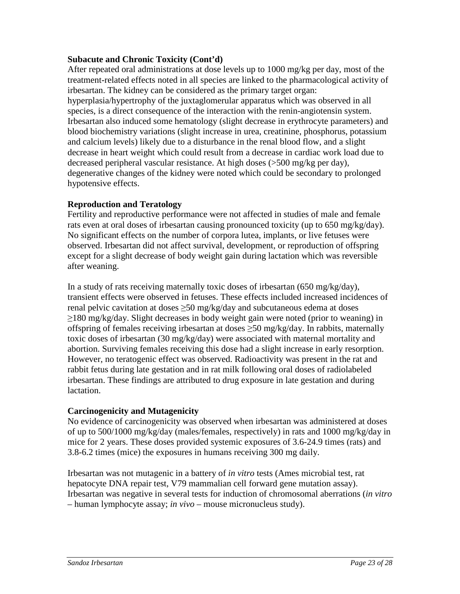# **Subacute and Chronic Toxicity (Cont'd)**

After repeated oral administrations at dose levels up to 1000 mg/kg per day, most of the treatment-related effects noted in all species are linked to the pharmacological activity of irbesartan. The kidney can be considered as the primary target organ: hyperplasia/hypertrophy of the juxtaglomerular apparatus which was observed in all species, is a direct consequence of the interaction with the renin-angiotensin system. Irbesartan also induced some hematology (slight decrease in erythrocyte parameters) and blood biochemistry variations (slight increase in urea, creatinine, phosphorus, potassium and calcium levels) likely due to a disturbance in the renal blood flow, and a slight decrease in heart weight which could result from a decrease in cardiac work load due to decreased peripheral vascular resistance. At high doses (>500 mg/kg per day), degenerative changes of the kidney were noted which could be secondary to prolonged hypotensive effects.

# **Reproduction and Teratology**

Fertility and reproductive performance were not affected in studies of male and female rats even at oral doses of irbesartan causing pronounced toxicity (up to 650 mg/kg/day). No significant effects on the number of corpora lutea, implants, or live fetuses were observed. Irbesartan did not affect survival, development, or reproduction of offspring except for a slight decrease of body weight gain during lactation which was reversible after weaning.

In a study of rats receiving maternally toxic doses of irbesartan (650 mg/kg/day), transient effects were observed in fetuses. These effects included increased incidences of renal pelvic cavitation at doses  $\geq$ 50 mg/kg/day and subcutaneous edema at doses ≥180 mg/kg/day. Slight decreases in body weight gain were noted (prior to weaning) in offspring of females receiving irbesartan at doses  $\geq$ 50 mg/kg/day. In rabbits, maternally toxic doses of irbesartan (30 mg/kg/day) were associated with maternal mortality and abortion. Surviving females receiving this dose had a slight increase in early resorption. However, no teratogenic effect was observed. Radioactivity was present in the rat and rabbit fetus during late gestation and in rat milk following oral doses of radiolabeled irbesartan. These findings are attributed to drug exposure in late gestation and during lactation.

# **Carcinogenicity and Mutagenicity**

No evidence of carcinogenicity was observed when irbesartan was administered at doses of up to 500/1000 mg/kg/day (males/females, respectively) in rats and 1000 mg/kg/day in mice for 2 years. These doses provided systemic exposures of 3.6-24.9 times (rats) and 3.8-6.2 times (mice) the exposures in humans receiving 300 mg daily.

Irbesartan was not mutagenic in a battery of *in vitro* tests (Ames microbial test, rat hepatocyte DNA repair test, V79 mammalian cell forward gene mutation assay). Irbesartan was negative in several tests for induction of chromosomal aberrations (*in vitro*  – human lymphocyte assay; *in vivo* – mouse micronucleus study).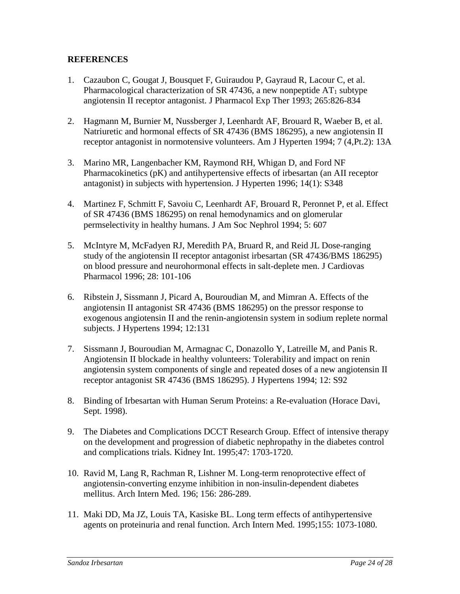# **REFERENCES**

- 1. Cazaubon C, Gougat J, Bousquet F, Guiraudou P, Gayraud R, Lacour C, et al. Pharmacological characterization of SR 47436, a new nonpeptide  $AT_1$  subtype angiotensin II receptor antagonist. J Pharmacol Exp Ther 1993; 265:826-834
- 2. Hagmann M, Burnier M, Nussberger J, Leenhardt AF, Brouard R, Waeber B, et al. Natriuretic and hormonal effects of SR 47436 (BMS 186295), a new angiotensin II receptor antagonist in normotensive volunteers. Am J Hyperten 1994; 7 (4,Pt.2): 13A
- 3. Marino MR, Langenbacher KM, Raymond RH, Whigan D, and Ford NF Pharmacokinetics (pK) and antihypertensive effects of irbesartan (an AII receptor antagonist) in subjects with hypertension. J Hyperten 1996; 14(1): S348
- 4. Martinez F, Schmitt F, Savoiu C, Leenhardt AF, Brouard R, Peronnet P, et al. Effect of SR 47436 (BMS 186295) on renal hemodynamics and on glomerular permselectivity in healthy humans. J Am Soc Nephrol 1994; 5: 607
- 5. McIntyre M, McFadyen RJ, Meredith PA, Bruard R, and Reid JL Dose-ranging study of the angiotensin II receptor antagonist irbesartan (SR 47436/BMS 186295) on blood pressure and neurohormonal effects in salt-deplete men. J Cardiovas Pharmacol 1996; 28: 101-106
- 6. Ribstein J, Sissmann J, Picard A, Bouroudian M, and Mimran A. Effects of the angiotensin II antagonist SR 47436 (BMS 186295) on the pressor response to exogenous angiotensin II and the renin-angiotensin system in sodium replete normal subjects. J Hypertens 1994; 12:131
- 7. Sissmann J, Bouroudian M, Armagnac C, Donazollo Y, Latreille M, and Panis R. Angiotensin II blockade in healthy volunteers: Tolerability and impact on renin angiotensin system components of single and repeated doses of a new angiotensin II receptor antagonist SR 47436 (BMS 186295). J Hypertens 1994; 12: S92
- 8. Binding of Irbesartan with Human Serum Proteins: a Re-evaluation (Horace Davi, Sept. 1998).
- 9. The Diabetes and Complications DCCT Research Group. Effect of intensive therapy on the development and progression of diabetic nephropathy in the diabetes control and complications trials. Kidney Int. 1995;47: 1703-1720.
- 10. Ravid M, Lang R, Rachman R, Lishner M. Long-term renoprotective effect of angiotensin-converting enzyme inhibition in non-insulin-dependent diabetes mellitus. Arch Intern Med. 196; 156: 286-289.
- 11. Maki DD, Ma JZ, Louis TA, Kasiske BL. Long term effects of antihypertensive agents on proteinuria and renal function. Arch Intern Med. 1995;155: 1073-1080.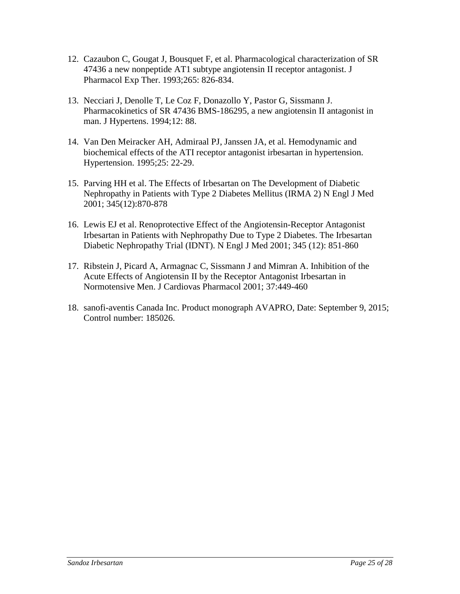- 12. Cazaubon C, Gougat J, Bousquet F, et al. Pharmacological characterization of SR 47436 a new nonpeptide AT1 subtype angiotensin II receptor antagonist. J Pharmacol Exp Ther. 1993;265: 826-834.
- 13. Necciari J, Denolle T, Le Coz F, Donazollo Y, Pastor G, Sissmann J. Pharmacokinetics of SR 47436 BMS-186295, a new angiotensin II antagonist in man. J Hypertens. 1994;12: 88.
- 14. Van Den Meiracker AH, Admiraal PJ, Janssen JA, et al. Hemodynamic and biochemical effects of the ATI receptor antagonist irbesartan in hypertension. Hypertension. 1995;25: 22-29.
- 15. Parving HH et al. The Effects of Irbesartan on The Development of Diabetic Nephropathy in Patients with Type 2 Diabetes Mellitus (IRMA 2) N Engl J Med 2001; 345(12):870-878
- 16. Lewis EJ et al. Renoprotective Effect of the Angiotensin-Receptor Antagonist Irbesartan in Patients with Nephropathy Due to Type 2 Diabetes. The Irbesartan Diabetic Nephropathy Trial (IDNT). N Engl J Med 2001; 345 (12): 851-860
- 17. Ribstein J, Picard A, Armagnac C, Sissmann J and Mimran A. Inhibition of the Acute Effects of Angiotensin II by the Receptor Antagonist Irbesartan in Normotensive Men. J Cardiovas Pharmacol 2001; 37:449-460
- 18. sanofi-aventis Canada Inc. Product monograph AVAPRO, Date: September 9, 2015; Control number: 185026.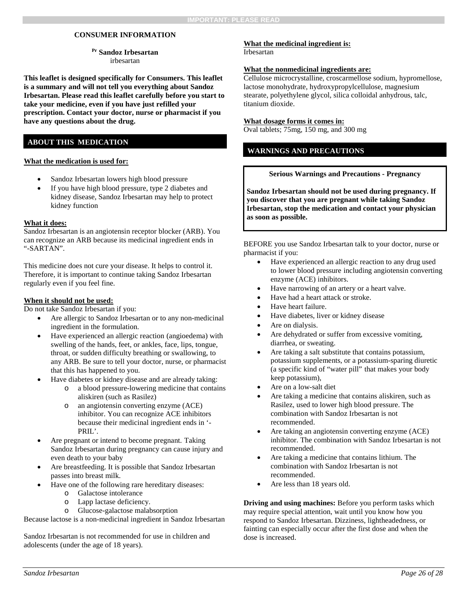### **CONSUMER INFORMATION**

**Pr Sandoz Irbesartan** irbesartan

**This leaflet is designed specifically for Consumers. This leaflet is a summary and will not tell you everything about Sandoz Irbesartan. Please read this leaflet carefully before you start to take your medicine, even if you have just refilled your prescription. Contact your doctor, nurse or pharmacist if you have any questions about the drug.**

## **ABOUT THIS MEDICATION**

#### **What the medication is used for:**

- Sandoz Irbesartan lowers high blood pressure
- If you have high blood pressure, type 2 diabetes and kidney disease, Sandoz Irbesartan may help to protect kidney function

#### **What it does:**

Sandoz Irbesartan is an angiotensin receptor blocker (ARB). You can recognize an ARB because its medicinal ingredient ends in "-SARTAN".

This medicine does not cure your disease. It helps to control it. Therefore, it is important to continue taking Sandoz Irbesartan regularly even if you feel fine.

#### **When it should not be used:**

Do not take Sandoz Irbesartan if you:

- Are allergic to Sandoz Irbesartan or to any non-medicinal ingredient in the formulation.
- Have experienced an allergic reaction (angioedema) with swelling of the hands, feet, or ankles, face, lips, tongue, throat, or sudden difficulty breathing or swallowing, to any ARB. Be sure to tell your doctor, nurse, or pharmacist that this has happened to you.
- Have diabetes or kidney disease and are already taking:
	- o a blood pressure-lowering medicine that contains aliskiren (such as Rasilez)
	- o an angiotensin converting enzyme (ACE) inhibitor. You can recognize ACE inhibitors because their medicinal ingredient ends in '- PRIL'.
- Are pregnant or intend to become pregnant. Taking Sandoz Irbesartan during pregnancy can cause injury and even death to your baby
- Are breastfeeding. It is possible that Sandoz Irbesartan passes into breast milk.
- Have one of the following rare hereditary diseases:
	- o Galactose intolerance
	- o Lapp lactase deficiency.
	- Glucose-galactose malabsorption

Because lactose is a non-medicinal ingredient in Sandoz Irbesartan

Sandoz Irbesartan is not recommended for use in children and adolescents (under the age of 18 years).

#### **What the medicinal ingredient is:** Irbesartan

#### **What the nonmedicinal ingredients are:**

Cellulose microcrystalline, croscarmellose sodium, hypromellose, lactose monohydrate, hydroxypropylcellulose, magnesium stearate, polyethylene glycol, silica colloidal anhydrous, talc, titanium dioxide.

#### **What dosage forms it comes in:**

Oval tablets; 75mg, 150 mg, and 300 mg

### **WARNINGS AND PRECAUTIONS**

#### **Serious Warnings and Precautions - Pregnancy**

**Sandoz Irbesartan should not be used during pregnancy. If you discover that you are pregnant while taking Sandoz Irbesartan, stop the medication and contact your physician as soon as possible.**

BEFORE you use Sandoz Irbesartan talk to your doctor, nurse or pharmacist if you:

- Have experienced an allergic reaction to any drug used to lower blood pressure including angiotensin converting enzyme (ACE) inhibitors.
- Have narrowing of an artery or a heart valve.
- Have had a heart attack or stroke.
- Have heart failure.
- Have diabetes, liver or kidney disease
- Are on dialysis.
- Are dehydrated or suffer from excessive vomiting, diarrhea, or sweating.
- Are taking a salt substitute that contains potassium, potassium supplements, or a potassium-sparing diuretic (a specific kind of "water pill" that makes your body keep potassium),
- Are on a low-salt diet
- Are taking a medicine that contains aliskiren, such as Rasilez, used to lower high blood pressure. The combination with Sandoz Irbesartan is not recommended.
- Are taking an angiotensin converting enzyme (ACE) inhibitor. The combination with Sandoz Irbesartan is not recommended.
- Are taking a medicine that contains lithium. The combination with Sandoz Irbesartan is not recommended.
- Are less than 18 years old.

**Driving and using machines:** Before you perform tasks which may require special attention, wait until you know how you respond to Sandoz Irbesartan. Dizziness, lightheadedness, or fainting can especially occur after the first dose and when the dose is increased.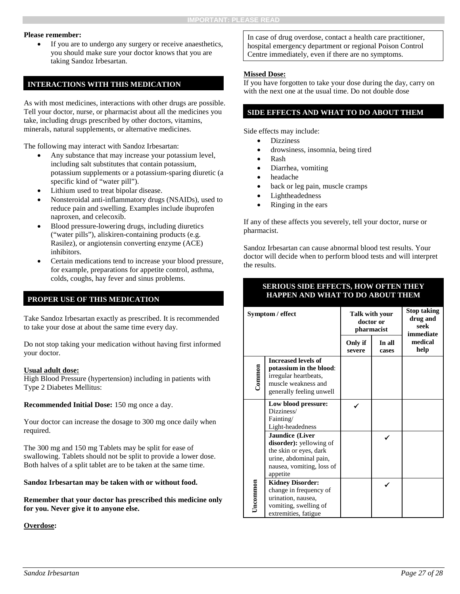#### **Please remember:**

If you are to undergo any surgery or receive anaesthetics, you should make sure your doctor knows that you are taking Sandoz Irbesartan.

### **INTERACTIONS WITH THIS MEDICATION**

As with most medicines, interactions with other drugs are possible. Tell your doctor, nurse, or pharmacist about all the medicines you take, including drugs prescribed by other doctors, vitamins, minerals, natural supplements, or alternative medicines.

The following may interact with Sandoz Irbesartan:

- Any substance that may increase your potassium level, including salt substitutes that contain potassium, potassium supplements or a potassium-sparing diuretic (a specific kind of "water pill").
- Lithium used to treat bipolar disease.
- Nonsteroidal anti-inflammatory drugs (NSAIDs), used to reduce pain and swelling. Examples include ibuprofen naproxen, and celecoxib.
- Blood pressure-lowering drugs, including diuretics ("water pills"), aliskiren-containing products (e.g. Rasilez), or angiotensin converting enzyme (ACE) inhibitors.
- Certain medications tend to increase your blood pressure, for example, preparations for appetite control, asthma, colds, coughs, hay fever and sinus problems.

### **PROPER USE OF THIS MEDICATION**

Take Sandoz Irbesartan exactly as prescribed. It is recommended to take your dose at about the same time every day.

Do not stop taking your medication without having first informed your doctor.

#### **Usual adult dose:**

High Blood Pressure (hypertension) including in patients with Type 2 Diabetes Mellitus:

**Recommended Initial Dose:** 150 mg once a day.

Your doctor can increase the dosage to 300 mg once daily when required.

The 300 mg and 150 mg Tablets may be split for ease of swallowing. Tablets should not be split to provide a lower dose. Both halves of a split tablet are to be taken at the same time.

**Sandoz Irbesartan may be taken with or without food.** 

**Remember that your doctor has prescribed this medicine only for you. Never give it to anyone else.**

#### **Overdose:**

In case of drug overdose, contact a health care practitioner, hospital emergency department or regional Poison Control Centre immediately, even if there are no symptoms.

### **Missed Dose:**

If you have forgotten to take your dose during the day, carry on with the next one at the usual time. Do not double dose

## **SIDE EFFECTS AND WHAT TO DO ABOUT THEM**

Side effects may include:

- **Dizziness**
- drowsiness, insomnia, being tired
- Rash
- Diarrhea, vomiting
- headache
- back or leg pain, muscle cramps
- Lightheadedness
- Ringing in the ears

If any of these affects you severely, tell your doctor, nurse or pharmacist.

Sandoz Irbesartan can cause abnormal blood test results. Your doctor will decide when to perform blood tests and will interpret the results.

## **SERIOUS SIDE EFFECTS, HOW OFTEN THEY HAPPEN AND WHAT TO DO ABOUT THEM**

| Symptom / effect |                                                                                                                                                | Talk with your<br>doctor or<br>pharmacist | <b>Stop taking</b><br>drug and<br>seek<br>immediate |                 |
|------------------|------------------------------------------------------------------------------------------------------------------------------------------------|-------------------------------------------|-----------------------------------------------------|-----------------|
|                  |                                                                                                                                                | Only if<br>severe                         | In all<br>cases                                     | medical<br>help |
| Common           | <b>Increased levels of</b><br>potassium in the blood:<br>irregular heartbeats,<br>muscle weakness and<br>generally feeling unwell              |                                           |                                                     |                 |
|                  | Low blood pressure:<br>Dizziness/<br>Fainting/<br>Light-headedness                                                                             |                                           |                                                     |                 |
|                  | <b>Jaundice</b> (Liver<br>disorder): yellowing of<br>the skin or eyes, dark<br>urine, abdominal pain,<br>nausea, vomiting, loss of<br>appetite |                                           |                                                     |                 |
| Uncommon         | <b>Kidney Disorder:</b><br>change in frequency of<br>urination, nausea,<br>vomiting, swelling of<br>extremities, fatigue                       |                                           |                                                     |                 |